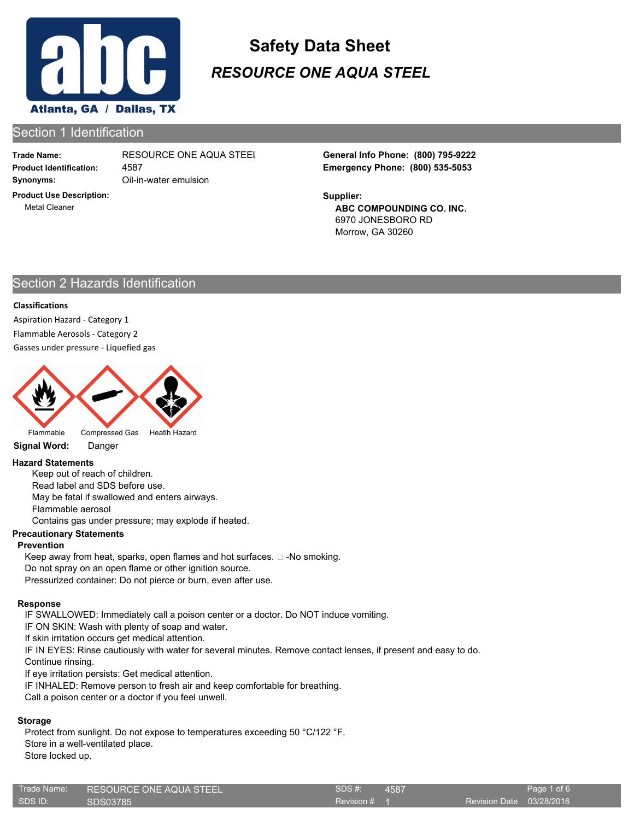

# Section 1 Identification

**Trade Name:**

**Product Use Description:** Metal Cleaner

**Synonyms:** Oil-in-water emulsion 4587

**Product Identification: Emergency Phone: (800) 535-5053** RESOURCE ONE AQUA STEEL **General Info Phone: (800) 795-9222**

> **ABC COMPOUNDING CO. INC.** 6970 JONESBORO RD Morrow, GA 30260 **Supplier:**

# Section 2 Hazards Identification

## **Classifications**

Aspiration Hazard - Category 1 Flammable Aerosols - Category 2 Gasses under pressure - Liquefied gas



Flammable Compressed Gas Heatlh Hazard

**Signal Word:** Danger

## **Hazard Statements**

Keep out of reach of children. Read label and SDS before use. May be fatal if swallowed and enters airways. Flammable aerosol

Contains gas under pressure; may explode if heated.

## **Precautionary Statements**

## **Prevention**

Keep away from heat, sparks, open flames and hot surfaces.  $\square$  -No smoking. Do not spray on an open flame or other ignition source. Pressurized container: Do not pierce or burn, even after use.

## **Response**

IF SWALLOWED: Immediately call a poison center or a doctor. Do NOT induce vomiting.

IF ON SKIN: Wash with plenty of soap and water.

If skin irritation occurs get medical attention.

IF IN EYES: Rinse cautiously with water for several minutes. Remove contact lenses, if present and easy to do.

Continue rinsing.

If eye irritation persists: Get medical attention.

IF INHALED: Remove person to fresh air and keep comfortable for breathing.

Call a poison center or a doctor if you feel unwell.

## **Storage**

Protect from sunlight. Do not expose to temperatures exceeding 50 °C/122 °F. Store in a well-ventilated place. Store locked up.

| Trade Name: | <b>RESOURCE ONE AQUA STEEL!</b> | SDS#    |
|-------------|---------------------------------|---------|
| SDS ID:     | SDS03785                        | Revisio |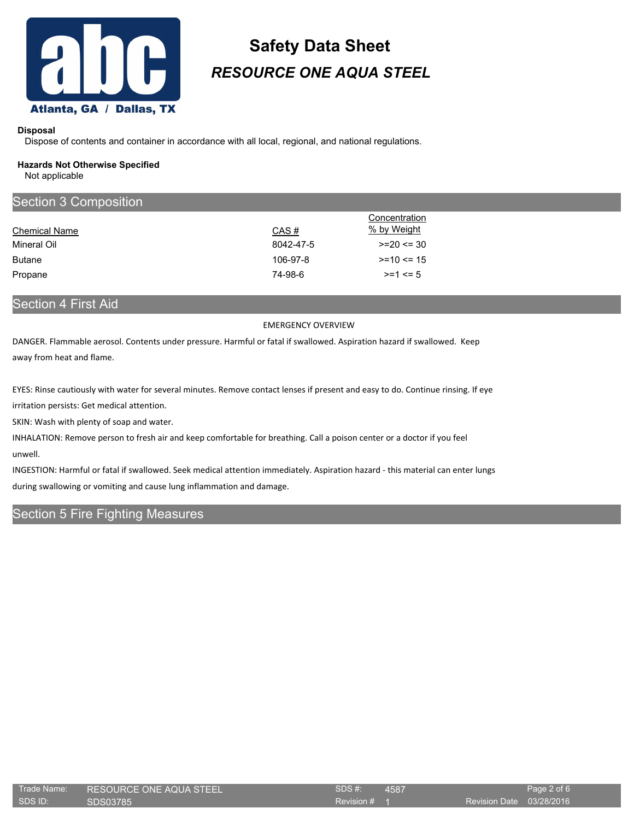

#### **Disposal**

Dispose of contents and container in accordance with all local, regional, and national regulations.

#### **Hazards Not Otherwise Specified**

Not applicable

| <b>Section 3 Composition</b> |           |               |  |  |
|------------------------------|-----------|---------------|--|--|
|                              |           | Concentration |  |  |
| <b>Chemical Name</b>         | CAS#      | % by Weight   |  |  |
| Mineral Oil                  | 8042-47-5 | $>=20 \le 30$ |  |  |
| <b>Butane</b>                | 106-97-8  | $>=10 \le 15$ |  |  |
| Propane                      | 74-98-6   | $>= 1 \le 5$  |  |  |
|                              |           |               |  |  |

Section 4 First Aid

#### EMERGENCY OVERVIEW

DANGER. Flammable aerosol. Contents under pressure. Harmful or fatal if swallowed. Aspiration hazard if swallowed. Keep away from heat and flame.

EYES: Rinse cautiously with water for several minutes. Remove contact lenses if present and easy to do. Continue rinsing. If eye irritation persists: Get medical attention.

SKIN: Wash with plenty of soap and water.

INHALATION: Remove person to fresh air and keep comfortable for breathing. Call a poison center or a doctor if you feel unwell.

INGESTION: Harmful or fatal if swallowed. Seek medical attention immediately. Aspiration hazard - this material can enter lungs during swallowing or vomiting and cause lung inflammation and damage.

# Section 5 Fire Fighting Measures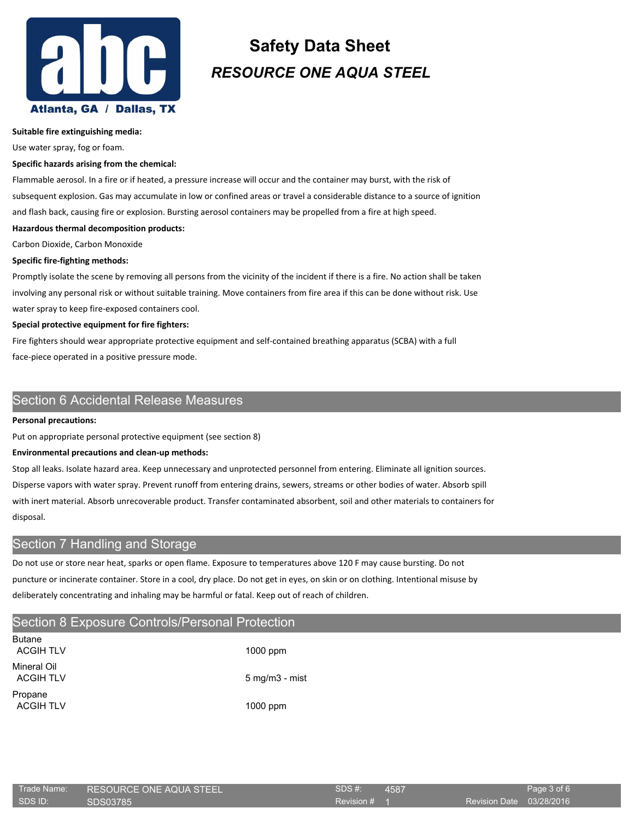

#### **Suitable fire extinguishing media:**

Use water spray, fog or foam.

#### **Specific hazards arising from the chemical:**

Flammable aerosol. In a fire or if heated, a pressure increase will occur and the container may burst, with the risk of subsequent explosion. Gas may accumulate in low or confined areas or travel a considerable distance to a source of ignition and flash back, causing fire or explosion. Bursting aerosol containers may be propelled from a fire at high speed.

#### **Hazardous thermal decomposition products:**

Carbon Dioxide, Carbon Monoxide

#### **Specific fire-fighting methods:**

Promptly isolate the scene by removing all persons from the vicinity of the incident if there is a fire. No action shall be taken involving any personal risk or without suitable training. Move containers from fire area if this can be done without risk. Use water spray to keep fire-exposed containers cool.

#### **Special protective equipment for fire fighters:**

Fire fighters should wear appropriate protective equipment and self-contained breathing apparatus (SCBA) with a full face-piece operated in a positive pressure mode.

## Section 6 Accidental Release Measures

#### **Personal precautions:**

Put on appropriate personal protective equipment (see section 8)

#### **Environmental precautions and clean-up methods:**

Stop all leaks. Isolate hazard area. Keep unnecessary and unprotected personnel from entering. Eliminate all ignition sources. Disperse vapors with water spray. Prevent runoff from entering drains, sewers, streams or other bodies of water. Absorb spill with inert material. Absorb unrecoverable product. Transfer contaminated absorbent, soil and other materials to containers for disposal.

# Section 7 Handling and Storage

Do not use or store near heat, sparks or open flame. Exposure to temperatures above 120 F may cause bursting. Do not puncture or incinerate container. Store in a cool, dry place. Do not get in eyes, on skin or on clothing. Intentional misuse by deliberately concentrating and inhaling may be harmful or fatal. Keep out of reach of children.

# Section 8 Exposure Controls/Personal Protection

| <b>Butane</b><br>ACGIH TI V |  |
|-----------------------------|--|
| Mineral Oil<br>ACGIH TI V   |  |
| Propane<br><b>ACGIH TLV</b> |  |

 $1000$  ppm  $5$  mg/m $3$  - mist

1000 ppm

| Trade Name: | RESOURCE ONE AQUA STEEL | SDS#    |
|-------------|-------------------------|---------|
| SDS ID:     | SDS03785                | Revisio |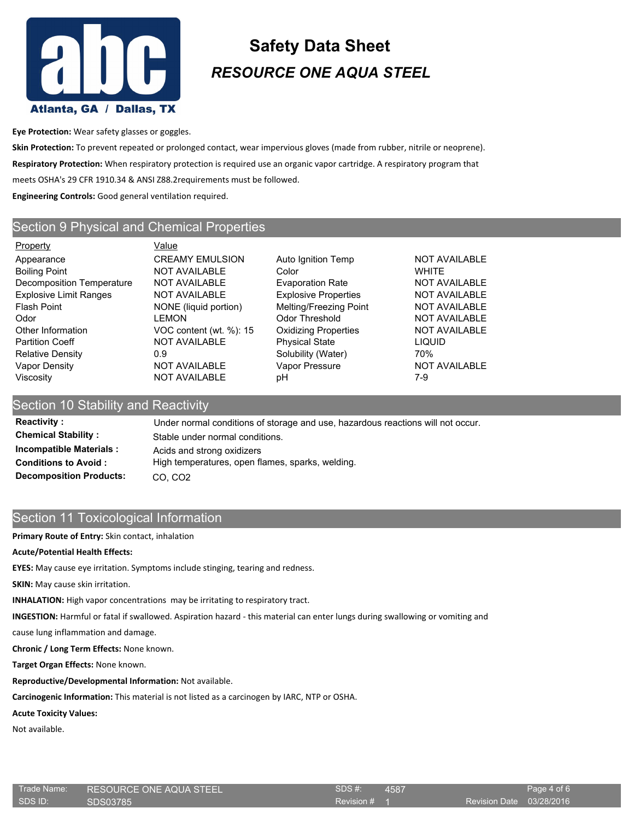

**Eye Protection:** Wear safety glasses or goggles.

**Skin Protection:** To prevent repeated or prolonged contact, wear impervious gloves (made from rubber, nitrile or neoprene). **Respiratory Protection:** When respiratory protection is required use an organic vapor cartridge. A respiratory program that meets OSHA's 29 CFR 1910.34 & ANSI Z88.2requirements must be followed. **Engineering Controls:** Good general ventilation required.

# Section 9 Physical and Chemical Properties

Property **Value** Appearance **CREAMY EMULSION** Auto Ignition Temp NOT AVAILABLE Boiling Point **NOT AVAILABLE** Color **COLOR** WHITE Decomposition Temperature NOT AVAILABLE Evaporation Rate NOT AVAILABLE Explosive Limit Ranges NOT AVAILABLE Explosive Properties NOT AVAILABLE Flash Point **NONE** (liquid portion) Melting/Freezing Point NOT AVAILABLE Odor **COLLECT CONCORDING CONTROLLECT CONCORDING CONTROLLECT CONTROLLECT CONTROLLECT CONTROLLECT CONTROLLECT CONTROLLECT CONTROLLECT CONTROLLECT CONTROLLECT CONTROLLECT CONTROLLECT CONTROLLECT CONTROLLECT CONTROLLECT CONTRO** Other Information VOC content (wt. %): 15 Oxidizing Properties NOT AVAILABLE Partition Coeff **NOT AVAILABLE** Physical State **CONTA** Relative Density **2008** COM **CONSOLUTE:** 0.9 Solubility (Water) 70% Vapor Density **NOT AVAILABLE** Vapor Pressure NOT AVAILABLE Viscosity NOT AVAILABLE pH 7-9

# Section 10 Stability and Reactivity

**Reactivity :** Under normal conditions of storage and use, hazardous reactions will not occur. **Chemical Stability :** Stable under normal conditions. **Incompatible Materials :** Acids and strong oxidizers **Conditions to Avoid :** High temperatures, open flames, sparks, welding. **Decomposition Products:** CO, CO2

# Section 11 Toxicological Information

**Primary Route of Entry:** Skin contact, inhalation

## **Acute/Potential Health Effects:**

**EYES:** May cause eye irritation. Symptoms include stinging, tearing and redness.

**SKIN:** May cause skin irritation.

**INHALATION:** High vapor concentrations may be irritating to respiratory tract.

**INGESTION:** Harmful or fatal if swallowed. Aspiration hazard - this material can enter lungs during swallowing or vomiting and

cause lung inflammation and damage.

**Chronic / Long Term Effects:** None known.

**Target Organ Effects:** None known.

## **Reproductive/Developmental Information:** Not available.

**Carcinogenic Information:** This material is not listed as a carcinogen by IARC, NTP or OSHA.

**Acute Toxicity Values:**

Not available.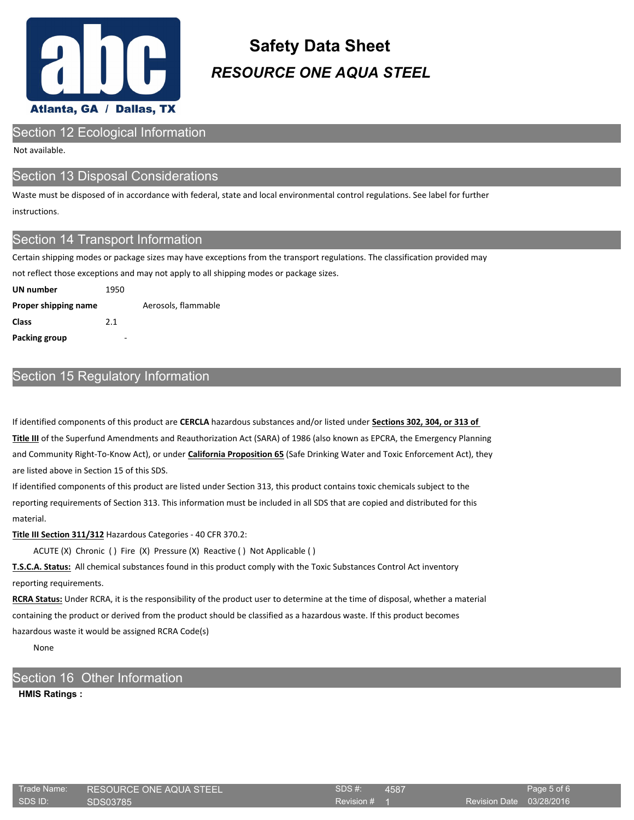

## Section 12 Ecological Information

Not available.

## Section 13 Disposal Considerations

Waste must be disposed of in accordance with federal, state and local environmental control regulations. See label for further instructions.

## Section 14 Transport Information

Certain shipping modes or package sizes may have exceptions from the transport regulations. The classification provided may

not reflect those exceptions and may not apply to all shipping modes or package sizes.

| UN number            | 1950 |                     |
|----------------------|------|---------------------|
| Proper shipping name |      | Aerosols, flammable |
| Class                | 2.1  |                     |
| Packing group        | -    |                     |

# Section 15 Regulatory Information

If identified components of this product are **CERCLA** hazardous substances and/or listed under **Sections 302, 304, or 313 of Title III** of the Superfund Amendments and Reauthorization Act (SARA) of 1986 (also known as EPCRA, the Emergency Planning and Community Right-To-Know Act), or under **California Proposition 65** (Safe Drinking Water and Toxic Enforcement Act), they are listed above in Section 15 of this SDS.

If identified components of this product are listed under Section 313, this product contains toxic chemicals subject to the reporting requirements of Section 313. This information must be included in all SDS that are copied and distributed for this material.

**Title III Section 311/312** Hazardous Categories - 40 CFR 370.2:

ACUTE (X) Chronic ( ) Fire (X) Pressure (X) Reactive ( ) Not Applicable ( )

**T.S.C.A. Status:** All chemical substances found in this product comply with the Toxic Substances Control Act inventory reporting requirements.

**RCRA Status:** Under RCRA, it is the responsibility of the product user to determine at the time of disposal, whether a material containing the product or derived from the product should be classified as a hazardous waste. If this product becomes hazardous waste it would be assigned RCRA Code(s)

None

## Section 16 Other Information

**HMIS Ratings :**